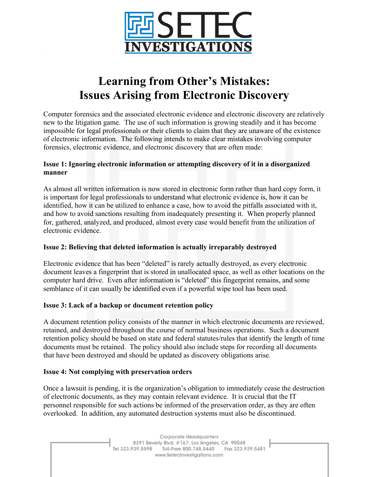

# **Learning from Other's Mistakes: Issues Arising from Electronic Discovery**

Computer forensics and the associated electronic evidence and electronic discovery are relatively new to the litigation game. The use of such information is growing steadily and it has become impossible for legal professionals or their clients to claim that they are unaware of the existence of electronic information. The following intends to make clear mistakes involving computer forensics, electronic evidence, and electronic discovery that are often made:

## **Issue 1: Ignoring electronic information or attempting discovery of it in a disorganized manner**

As almost all written information is now stored in electronic form rather than hard copy form, it is important for legal professionals to understand what electronic evidence is, how it can be identified, how it can be utilized to enhance a case, how to avoid the pitfalls associated with it, and how to avoid sanctions resulting from inadequately presenting it. When properly planned for, gathered, analyzed, and produced, almost every case would benefit from the utilization of electronic evidence.

## **Issue 2: Believing that deleted information is actually irreparably destroyed**

Electronic evidence that has been "deleted" is rarely actually destroyed, as every electronic document leaves a fingerprint that is stored in unallocated space, as well as other locations on the computer hard drive. Even after information is "deleted" this fingerprint remains, and some semblance of it can usually be identified even if a powerful wipe tool has been used.

## **Issue 3: Lack of a backup or document retention policy**

A document retention policy consists of the manner in which electronic documents are reviewed, retained, and destroyed throughout the course of normal business operations. Such a document retention policy should be based on state and federal statutes/rules that identify the length of time documents must be retained. The policy should also include steps for recording all documents that have been destroyed and should be updated as discovery obligations arise.

## **Issue 4: Not complying with preservation orders**

Once a lawsuit is pending, it is the organization's obligation to immediately cease the destruction of electronic documents, as they may contain relevant evidence. It is crucial that the IT personnel responsible for such actions be informed of the preservation order, as they are often overlooked. In addition, any automated destruction systems must also be discontinued.

> Corporate Headquarters 8391 Beverly Blvd. #167, Los Angeles, CA 90048 Tel 323.939.5598 Toll-Free 800.748.5440 Fax 323.939.5481 www.SetecInvestigations.com